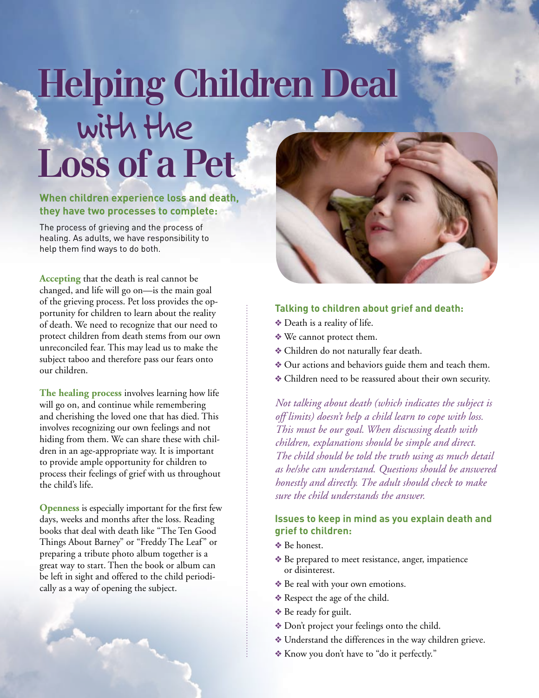# **Helping Children Deal**  with the **Loss of a Pet**

#### **When children experience loss and death, they have two processes to complete:**

The process of grieving and the process of healing. As adults, we have responsibility to help them find ways to do both.

**Accepting** that the death is real cannot be changed, and life will go on—is the main goal of the grieving process. Pet loss provides the opportunity for children to learn about the reality of death. We need to recognize that our need to protect children from death stems from our own unreconciled fear. This may lead us to make the subject taboo and therefore pass our fears onto our children.

**The healing process** involves learning how life will go on, and continue while remembering and cherishing the loved one that has died. This involves recognizing our own feelings and not hiding from them. We can share these with children in an age-appropriate way. It is important to provide ample opportunity for children to process their feelings of grief with us throughout the child's life.

**Openness** is especially important for the first few days, weeks and months after the loss. Reading books that deal with death like "The Ten Good Things About Barney" or "Freddy The Leaf" or preparing a tribute photo album together is a great way to start. Then the book or album can be left in sight and offered to the child periodically as a way of opening the subject.

**Contract Address** 



#### **Talking to children about grief and death:**

- ❖ Death is a reality of life.
- ❖ We cannot protect them.
- ❖ Children do not naturally fear death.
- ❖ Our actions and behaviors guide them and teach them.
- ❖ Children need to be reassured about their own security.

*Not talking about death (which indicates the subject is off limits) doesn't help a child learn to cope with loss. This must be our goal. When discussing death with children, explanations should be simple and direct. The child should be told the truth using as much detail as he/she can understand. Questions should be answered honestly and directly. The adult should check to make sure the child understands the answer.* 

#### **Issues to keep in mind as you explain death and grief to children:**

- ❖ Be honest.
- ❖ Be prepared to meet resistance, anger, impatience or disinterest.
- ❖ Be real with your own emotions.
- ❖ Respect the age of the child.
- ❖ Be ready for guilt.
- ❖ Don't project your feelings onto the child.
- ❖ Understand the differences in the way children grieve.
- ❖ Know you don't have to "do it perfectly."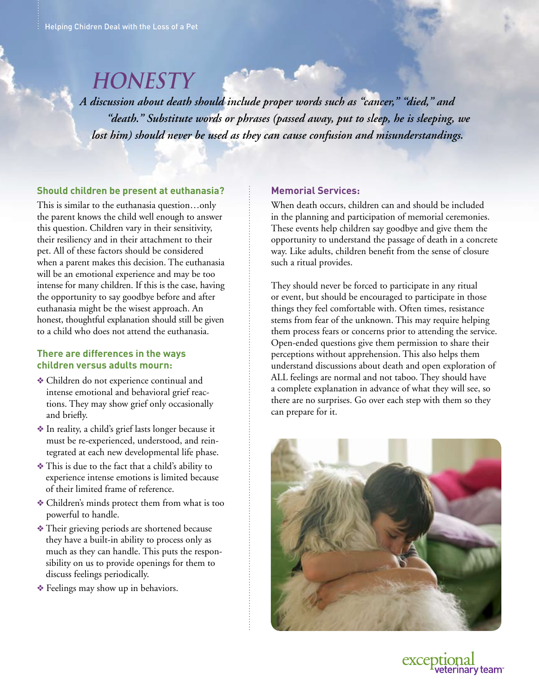### **HONESTY**

*A discussion about death should include proper words such as "cancer," "died," and "death." Substitute words or phrases (passed away, put to sleep, he is sleeping, we lost him) should never be used as they can cause confusion and misunderstandings.* 

#### **Should children be present at euthanasia?**

This is similar to the euthanasia question…only the parent knows the child well enough to answer this question. Children vary in their sensitivity, their resiliency and in their attachment to their pet. All of these factors should be considered when a parent makes this decision. The euthanasia will be an emotional experience and may be too intense for many children. If this is the case, having the opportunity to say goodbye before and after euthanasia might be the wisest approach. An honest, thoughtful explanation should still be given to a child who does not attend the euthanasia.

#### **There are differences in the ways children versus adults mourn:**

- ❖ Children do not experience continual and intense emotional and behavioral grief reactions. They may show grief only occasionally and briefly.
- ❖ In reality, a child's grief lasts longer because it must be re-experienced, understood, and reintegrated at each new developmental life phase.
- ❖ This is due to the fact that a child's ability to experience intense emotions is limited because of their limited frame of reference.
- ❖ Children's minds protect them from what is too powerful to handle.
- ❖ Their grieving periods are shortened because they have a built-in ability to process only as much as they can handle. This puts the responsibility on us to provide openings for them to discuss feelings periodically.
- ❖ Feelings may show up in behaviors.

#### **Memorial Services:**

When death occurs, children can and should be included in the planning and participation of memorial ceremonies. These events help children say goodbye and give them the opportunity to understand the passage of death in a concrete way. Like adults, children benefit from the sense of closure such a ritual provides.

They should never be forced to participate in any ritual or event, but should be encouraged to participate in those things they feel comfortable with. Often times, resistance stems from fear of the unknown. This may require helping them process fears or concerns prior to attending the service. Open-ended questions give them permission to share their perceptions without apprehension. This also helps them understand discussions about death and open exploration of ALL feelings are normal and not taboo. They should have a complete explanation in advance of what they will see, so there are no surprises. Go over each step with them so they can prepare for it.